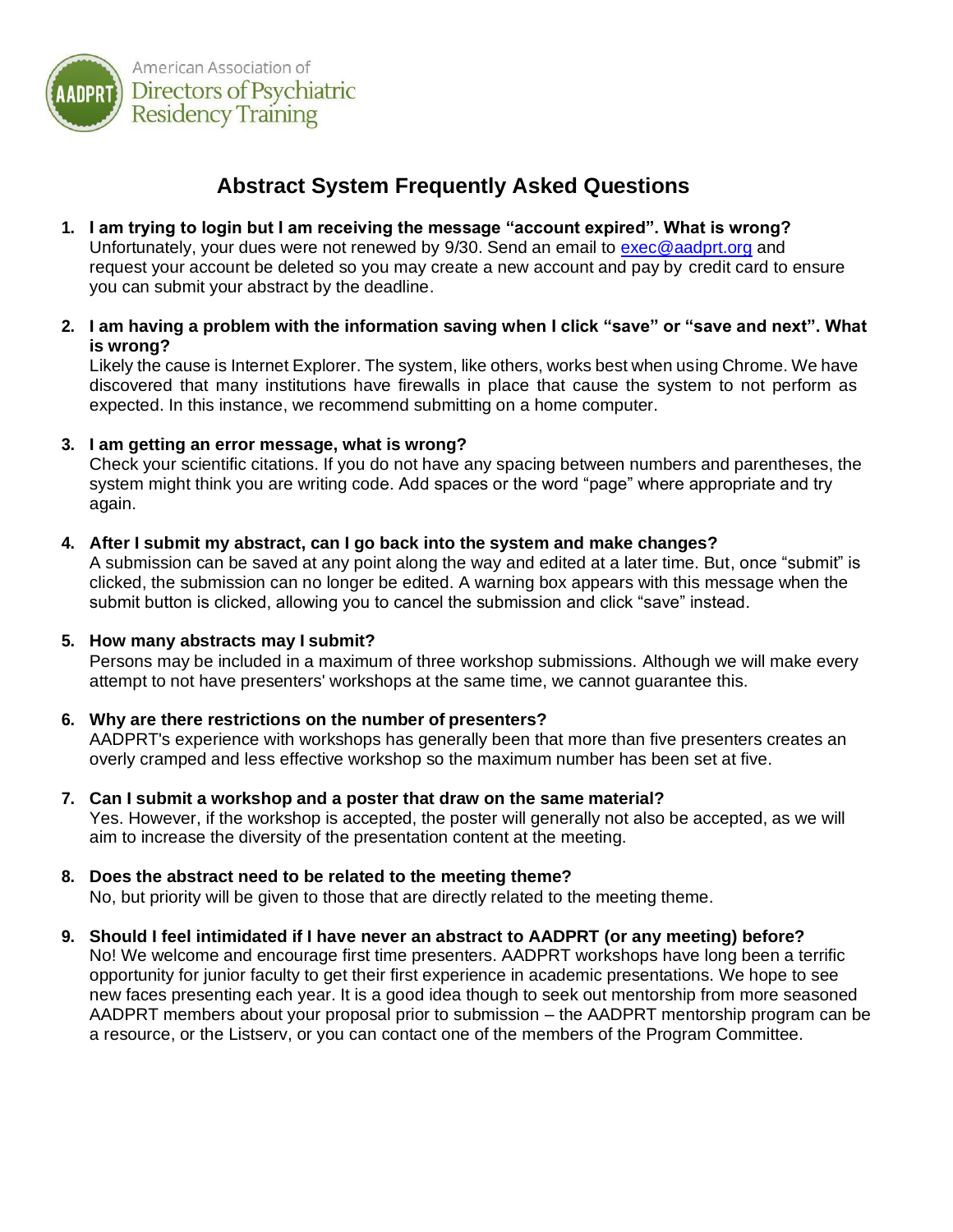

# **Abstract System Frequently Asked Questions**

- **1. I am trying to login but I am receiving the message "account expired". What is wrong?**  Unfortunately, your dues were not renewed by 9/30. Send an email to [exec@aadprt.org](mailto:exec@aadprt.org) and request your account be deleted so you may create a new account and pay by credit card to ensure you can submit your abstract by the deadline.
- **2. I am having a problem with the information saving when I click "save" or "save and next". What is wrong?**

Likely the cause is Internet Explorer. The system, like others, works best when using Chrome. We have discovered that many institutions have firewalls in place that cause the system to not perform as expected. In this instance, we recommend submitting on a home computer.

**3. I am getting an error message, what is wrong?**

Check your scientific citations. If you do not have any spacing between numbers and parentheses, the system might think you are writing code. Add spaces or the word "page" where appropriate and try again.

**4. After I submit my abstract, can I go back into the system and make changes?**

A submission can be saved at any point along the way and edited at a later time. But, once "submit" is clicked, the submission can no longer be edited. A warning box appears with this message when the submit button is clicked, allowing you to cancel the submission and click "save" instead.

## **5. How many abstracts may I submit?**

Persons may be included in a maximum of three workshop submissions. Although we will make every attempt to not have presenters' workshops at the same time, we cannot guarantee this.

## **6. Why are there restrictions on the number of presenters?**

AADPRT's experience with workshops has generally been that more than five presenters creates an overly cramped and less effective workshop so the maximum number has been set at five.

- **7. Can I submit a workshop and a poster that draw on the same material?** Yes. However, if the workshop is accepted, the poster will generally not also be accepted, as we will aim to increase the diversity of the presentation content at the meeting.
- **8. Does the abstract need to be related to the meeting theme?** No, but priority will be given to those that are directly related to the meeting theme.
- **9. Should I feel intimidated if I have never an abstract to AADPRT (or any meeting) before?** No! We welcome and encourage first time presenters. AADPRT workshops have long been a terrific opportunity for junior faculty to get their first experience in academic presentations. We hope to see new faces presenting each year. It is a good idea though to seek out mentorship from more seasoned

AADPRT members about your proposal prior to submission – the AADPRT mentorship program can be a resource, or the Listserv, or you can contact one of the members of the Program Committee.